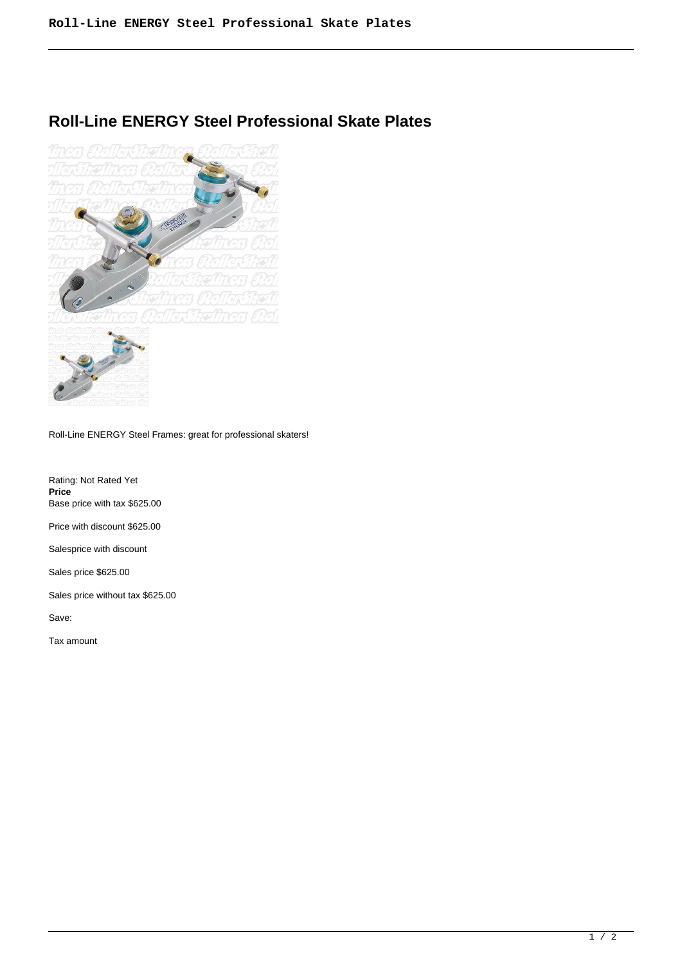## **Roll-Line ENERGY Steel Professional Skate Plates**



Roll-Line ENERGY Steel Frames: great for professional skaters!

Rating: Not Rated Yet **Price**  Base price with tax \$625.00

Price with discount \$625.00

Salesprice with discount

Sales price \$625.00

Sales price without tax \$625.00

Save:

Tax amount